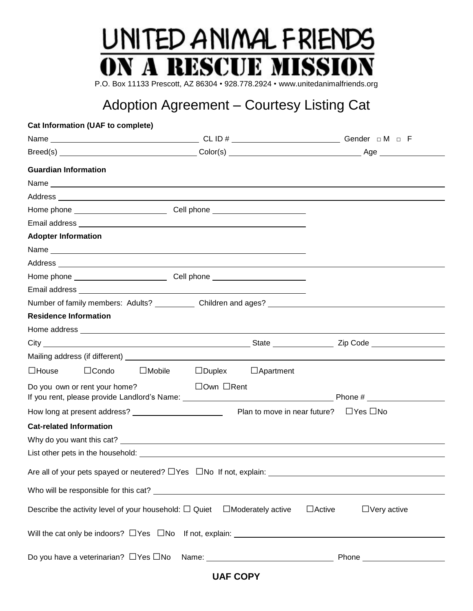# UNITED ANIMAL FRIENDS **ON A RESCUE MISSION**

P.O. Box 11133 Prescott, AZ 86304 • 928.778.2924 • www.unitedanimalfriends.org

### Adoption Agreement – Courtesy Listing Cat

| <b>Cat Information (UAF to complete)</b>                                                                                                                                                                                             |                                |                                                   |
|--------------------------------------------------------------------------------------------------------------------------------------------------------------------------------------------------------------------------------------|--------------------------------|---------------------------------------------------|
|                                                                                                                                                                                                                                      |                                |                                                   |
|                                                                                                                                                                                                                                      |                                |                                                   |
| <b>Guardian Information</b>                                                                                                                                                                                                          |                                |                                                   |
|                                                                                                                                                                                                                                      |                                |                                                   |
| Address <b>contract to the contract of the contract of the contract of the contract of the contract of the contract of the contract of the contract of the contract of the contract of the contract of the contract of the contr</b> |                                |                                                   |
| Home phone ________________________________Cell phone __________________________                                                                                                                                                     |                                |                                                   |
|                                                                                                                                                                                                                                      |                                |                                                   |
| <b>Adopter Information</b>                                                                                                                                                                                                           |                                |                                                   |
|                                                                                                                                                                                                                                      |                                |                                                   |
| Address and the contract of the contract of the contract of the contract of the contract of the contract of the contract of the contract of the contract of the contract of the contract of the contract of the contract of th       |                                |                                                   |
|                                                                                                                                                                                                                                      |                                |                                                   |
|                                                                                                                                                                                                                                      |                                |                                                   |
| Number of family members: Adults? Children and ages? Communication and ages and ages of family members: Adults                                                                                                                       |                                |                                                   |
| <b>Residence Information</b>                                                                                                                                                                                                         |                                |                                                   |
|                                                                                                                                                                                                                                      |                                |                                                   |
|                                                                                                                                                                                                                                      |                                |                                                   |
|                                                                                                                                                                                                                                      |                                |                                                   |
| $\square$ House<br>$\Box$ Condo<br>$\square$ Mobile                                                                                                                                                                                  | $\Box$ Duplex $\Box$ Apartment |                                                   |
| Do you own or rent your home?                                                                                                                                                                                                        | $\Box$ Own $\Box$ Rent         |                                                   |
|                                                                                                                                                                                                                                      |                                |                                                   |
|                                                                                                                                                                                                                                      |                                | Plan to move in near future? $\Box$ Yes $\Box$ No |
| <b>Cat-related Information</b>                                                                                                                                                                                                       |                                |                                                   |
|                                                                                                                                                                                                                                      |                                |                                                   |
|                                                                                                                                                                                                                                      |                                |                                                   |
|                                                                                                                                                                                                                                      |                                |                                                   |
|                                                                                                                                                                                                                                      |                                |                                                   |
| Describe the activity level of your household: $\Box$ Quiet $\Box$ Moderately active                                                                                                                                                 |                                | $\Box$ Active<br>$\Box$ Very active               |
|                                                                                                                                                                                                                                      |                                |                                                   |
|                                                                                                                                                                                                                                      |                                |                                                   |

**UAF COPY**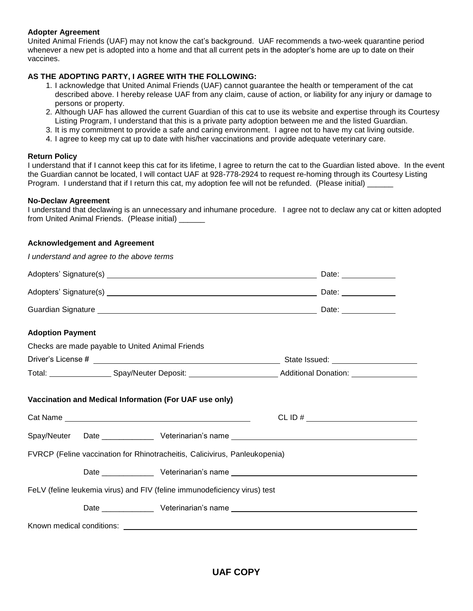### **Adopter Agreement**

United Animal Friends (UAF) may not know the cat's background. UAF recommends a two-week quarantine period whenever a new pet is adopted into a home and that all current pets in the adopter's home are up to date on their vaccines.

### **AS THE ADOPTING PARTY, I AGREE WITH THE FOLLOWING:**

- 1. I acknowledge that United Animal Friends (UAF) cannot guarantee the health or temperament of the cat described above. I hereby release UAF from any claim, cause of action, or liability for any injury or damage to persons or property.
- 2. Although UAF has allowed the current Guardian of this cat to use its website and expertise through its Courtesy Listing Program, I understand that this is a private party adoption between me and the listed Guardian.
- 3. It is my commitment to provide a safe and caring environment. I agree not to have my cat living outside.
- 4. I agree to keep my cat up to date with his/her vaccinations and provide adequate veterinary care.

### **Return Policy**

I understand that if I cannot keep this cat for its lifetime, I agree to return the cat to the Guardian listed above. In the event the Guardian cannot be located, I will contact UAF at 928-778-2924 to request re-homing through its Courtesy Listing Program. I understand that if I return this cat, my adoption fee will not be refunded. (Please initial) \_\_\_\_\_\_

### **No-Declaw Agreement**

I understand that declawing is an unnecessary and inhumane procedure. I agree not to declaw any cat or kitten adopted from United Animal Friends. (Please initial) \_\_\_\_\_\_\_\_\_\_\_\_\_\_\_\_\_\_\_\_\_\_\_\_\_\_\_\_\_\_\_\_\_\_\_

### **Acknowledgement and Agreement**

| I understand and agree to the above terms                                  |                                                                                                                     |  |  |  |  |  |
|----------------------------------------------------------------------------|---------------------------------------------------------------------------------------------------------------------|--|--|--|--|--|
|                                                                            |                                                                                                                     |  |  |  |  |  |
|                                                                            |                                                                                                                     |  |  |  |  |  |
|                                                                            |                                                                                                                     |  |  |  |  |  |
| <b>Adoption Payment</b>                                                    |                                                                                                                     |  |  |  |  |  |
| Checks are made payable to United Animal Friends                           |                                                                                                                     |  |  |  |  |  |
|                                                                            |                                                                                                                     |  |  |  |  |  |
|                                                                            | Total: _____________________Spay/Neuter Deposit: ______________________________Additional Donation: _______________ |  |  |  |  |  |
| Vaccination and Medical Information (For UAF use only)                     | $CLID # \_$                                                                                                         |  |  |  |  |  |
| Spay/Neuter                                                                |                                                                                                                     |  |  |  |  |  |
| FVRCP (Feline vaccination for Rhinotracheitis, Calicivirus, Panleukopenia) |                                                                                                                     |  |  |  |  |  |
|                                                                            |                                                                                                                     |  |  |  |  |  |
| FeLV (feline leukemia virus) and FIV (feline immunodeficiency virus) test  |                                                                                                                     |  |  |  |  |  |
|                                                                            |                                                                                                                     |  |  |  |  |  |
|                                                                            |                                                                                                                     |  |  |  |  |  |